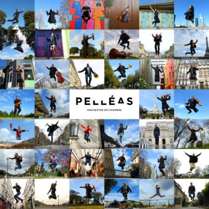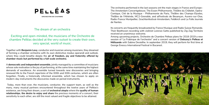# PELLÉAS

ORCHESTRE DE CHAMBRE

# The dream of an orchestra

 Exciting and open-minded, the musicians of the Orchestre de chambre Pelléas decided at the very outset to create their own, very special, world of music.

Together with **Benjamin Levy**, conductor and musician among musicians, they dreamed of forming a chamber orchestra with its own distinctive modus operandi and outlook, where they could breathe deeply the **air of freedom, joy and fraternity offered by chamber music but performed by a full-scale orchestra**.

A **democratic and independent ensemble**, jointly managed by a committee of musicians whose sole motivation is the joy of performing, at the same time maintaining the highest demands of excellence. An ensemble turned towards new discoveries and bringing renewed life to the French repertoire of the XIXth and XXth centuries, which are often forgotten. Finally, a historically informed ensemble, which has chosen to apply on modern-day instruments the discoveries made on period instruments.

 Today, more than ever, the musicians, conductor, the support team, as well as the many, many musical partners encountered throughout the twelve years of Pelléas's existence, are living their dream, a sort of **orchestral utopia** where the **quality of human relationships**, **the desire to enjoy and share** the precious moments of a concert, their sensitivity to each other, are still the most valued and fragile objectives to be attained.

The orchestra performed in the last seasons ont the main stages in France and Europe : The Amsterdam Concertgebouw, The Essen Philharmonie, Théâtre du Châtelet, Opéra-Comique, Cité de la Musique - Philharmonie de Paris, Théâtre des Champs-Elysées, Théâtre de l'Athénée, MC2-Grenoble, and atFestivals de Besançon, Auvers-sur-Oise, Radio-France Montpellier, Grachtenfestival-Amsterdam, Feldkirch and La Folle Journée de Nantes.

Its concerts are frequently broadcasted by France Musique and Radio Suisse Romande. Their Beethoven recording with violinist Lorenzo Gatto published by Zig-Zag Territoire received an unanimous welcome. Among upcoming projects, Orchestre de Chambre Pelleas plans for 2018-2019 a new session of 'La Frabirque de l'orchestre" and a concert version of **Debussy's Pelleas et Mélisande** with Sabine Devieilhe. In september 2019, they will perform for first time at George Enescu International Festival in Bucarest.

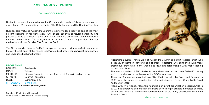# **PROGRAMMES 2019-2020**

### **COCK-A-DOODLE-DOO!**

Benjamin Lévy and the musicians of the Orchestre de chambre Pelléas have concocted a very French fête straight from the Paris of the Belle Epoque and the Roaring Twenties.

Russian-born virtuoso Alexandra Soumm is acknowledged today as one of the most brilliant violinists of her generation. She brings her own particular generosity and passion to Ravel's virtuoso Tzigane and Darius Milhaud's exhilarating Cinéma-Fantaisie for violin and orchestra. The latter, written in 1919 for a Charlie Chaplin silent film, was the basis for Milhaud's ballet The Ox on the Roof.

The Orchestre de chambre Pelléas' transparent colours provide a perfect medium for the very French spirit of this music: Bizet's melodic charm, Debussy's poetic melancholy and Chabrier's bubbling humour.

#### **PROGRAMME**

DEBUSSY Sarabande RAVEL Tzigane MILHAUD Cinéma-Fantaisie – Le boeuf sur le toit for violin and orchestra CHABRIER Bourrée Fantasque BIZZET Symphony in C or POULENC Sinfonietta

**with Alexandra Soumm, violin**

Duration: 90 minutes with interval 45 musicians + 1 conductor + 1 soloist (violin)



**Alexandra Soumm** French violinist Alexandra Soumm is a multi-faceted artist who is equally at home in concerto and chamber repertoire. She performed with many prestigious orchestras in the world and develops relationships with many leading orchestras in France.

She was a member of BBC Radio 3's New Generation Artist roster 2010-12, during which time she worked with most of the BBC ensembles. Alexandra Soumm has recorded two CDs : First concertos by Bruch and Paganini in 2008, And the complete sonatas for violin and piano by Edvard Grieg (with David Kadouch) in 2010.

Along with two friends, Alexandra founded non-profit organization Esperanz'Arts in 2012, a collaborative of more than 60 artists performing in schools, homeless shelters, prisons and hospitals. She was named Godmother of the newly established El Sistema France in 2013.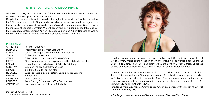#### **JENNIFER LARMORE, AN AMERICAN IN PARIS**

All aboard to party our way across the Atlantic with the fabulous Jennifer Larmore, our very own mezzo-soprano American in Paris.

Despite the tragic events which unfolded throughout the world during the first half of the 20th century, a current of joyful and astoundingly lively music developed against the background of the horrors of two world wars. Across the Atlantic George Gershwin, and the musicals of Leonard Bernstein, Victor Herbert and Irving Berlin echoed the music of their European contemporaries Kurt Weill, Jacques Ibert and Albert Roussel, as well as the charmingly Parisian operettas of Henri Christiné and Maurice Yvain

#### **PROGRAMME**

| <b>CHRISTINÉ</b> | Phi-Phi - Ouverture                                          |
|------------------|--------------------------------------------------------------|
| <b>BERNSTEIN</b> | I feel Pretty tiré de West Side Story                        |
| <b>WEILL</b>     | Youkali - musique de scène pour Marie Galante                |
| <b>YVAIN</b>     | Ta Bouche - Ouverture                                        |
| <b>WEILL</b>     | O Foolish Heart tiré de One Touch of Venus                   |
| <b>IBERT</b>     | Divertissement pour Un chapeau de paille d'Italie de Labiche |
| <b>LOEWE</b>     | I could have danced all night tiré de My Fair Lady           |
| <b>GERSHWIN</b>  | Summertime tiré de Porgy and Bess                            |
| <b>SIMONS</b>    | 3 extraits tirés de Toi c'est Moi                            |
| <b>ROUSSEL</b>   | Suite Fantaisie tirée du Testament de la Tante Caroline      |
| <b>BERLIN</b>    | What'll I do                                                 |
| <b>CHRISTINÉ</b> | Dédé - Overture                                              |
| <b>HERBERT</b>   | Art is Calling for me tiré de The Enchantress                |
| <b>OFFENBACH</b> | « Ah quel dîner » tiré de La Périchole                       |

Duration: 1h30 with interval 39 musicians + 1 conductor + 1 mezzo-soprano



Jennifer Larmore began her career at Opera de Nice in 1986 and sings since then at virtually every major opera house in the world, including the Metropolitan Opera, La Scala, Paris Opera, Tokyo, Berlin Deutsche Oper, and London Covent Garden. under the batons of maestros Muti, Bernstein, Masur, Maazel, Osawa, Barenboim etc.

Jennifer Larmore has recorder more than 100 discs and has been awarded the Richard Tucker Prize as well as a Gramophone award of the best baroque opera recording in *Giulio Cesare* published by Harmonia Mundi. She is a seven times nominee at the Grammy awards and has been invited to sing at the closing ceremony of the 1996 Summer Olympics in Atlanta (USA). Jennifer Larmore was made a Chevalier des Arts et des Lettres by the French Minister of Culture in February 2002.

« *The larger than life presence of Jennifer Larmore* » The New York Times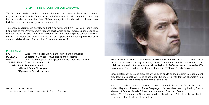#### **STÉPHANE DE GROODT FAIT SON CARNAVAL**

The Orchestre de chambre Pelléas invited humorist and comedian Stéphane de Groodt to give a new twist to the famous Carnaval of the Animals. His zany talent and crazy text have shaken up Monsieur Saint-Saëns' menagerie quite a bit, with cocks and hens, tortoises, elephant and kangaroo all running wild....

HAHN Suite Hongroise for violin, piano, strings and percussion POULENC Concerto in D minor for two pianos and orchestra IBERT Divertissement pour Un chapeau de paille d'Italie de Labiche SAINT-SAËNS Carnaval of the Animals **with Pablo Schatzman, violin Lidija and Sanja Bizjak, piano Stéphane de Groodt, narrator**

This entire programme is devoted to light entertainment, from Reynaldo Hahn's Suite Hongroise to the Divertissement Jacques Ibert wrote to accompany Eugène Labiche's comedy The Italian Straw Hat. Our version of Poulenc's double piano concerto, starring the dazzling sister-duo Lidija and Sanja Bizjak, is perfectly in keeping with Poulenc's own proud description of his work as 'pure entertainment!'.

#### **PROGRAMME**

Duration : 1h20 with interval 44 musicians (soloists : 2 pianos and 1 violin) + 1 chef + 1 récitant



Born in 1966 in Brussels, **Stéphane de Groodt** begins his carrier as a professional racing driver before starting his acting career. At the same time he develops from his childhood a passion for humour and showplaying. In 2006 he created the series *File dans ta chambre*, broadcast on channels France 2, RTBF and Canal+ Belgique.

Since September 2012, he presents a weekly chronicle on the program Le Supplément broadcast on Canal+ where he talked about his meeting with famous characters in a humoristic tone with a mixture of wordplay and puns.

His absurd and very literary humor make him often think about other famous humorists such as Raymond Devos and Pierre Desproges. His talent has been highlited by French Minister of Culture, Aurélie Filipetti, with the Award Raymond Devos. In May 2015 Stephane de Groodt was made a Chevalier des Arts et des Lettres by the French Minister of Culture Fleur Pellerin.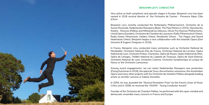## **BENJAMIN LEVY, CONDUCTOR**



Very active on both symphonic and operatic stages in Europe, Benjamin Levy has been named in 2016 musical director of the Orchestre de Cannes - Provence Alpes Côte d'Azur.

Benjamin Levy recently conducted the Rotterdams Philharmonisch, Orchestre de la Suisse Romande, Nederlandse Reisopera (Bizet, The Pearl fishers in 2015), Stansilavsky theatre - Moscow (Pelléas and Mélisande by Debussy, Olivier Py) Moscow Philharmonic, Umeå Opera (Sweden), Orchestre de Chambre de Lausanne, Radio Filharmonisch Orkest, Radio Kamer Filharmonie, Gelders Orkest, Residentie Orkest - The Hague and Noord Nederlands Orkest. Benjamin begins a new collaboration with the Icelandic Opera (Don Giovanni & Eugene Oneguine in 2016).

In France, Benjamin Lévy conducted many orchestras such as Orchestre National de Montpellier, Orchestre National d'Ile-de-France, Orchestre National de Lorraine, Opéra National de Lyon, Orchestre Poitou-Charentes, Opéra de Rouen, Opéra National du Rhin, Opéra de Limoges, Théâtre National du Capitole de Toulouse, Opéra de Saint-Etienne, Orchestre National de Lyon, Orchestre Colonne, Orchestre Symphonique et Lyrique de Nancy or the Orchestre Lamoureux.

Among recent engagements, we can notice Nederlandse Reisopera new production (Flying Dutchman in 2018), the opéra de Tours, the orchestre Lamoureux, the Amsterdam Opera and many other projects with his Orchestre de chambre Pelléas alongside leading artists as Jennifer Larmore or Sabine Devieilhe.

In 2005, he was awarded the "Musical Revelation Prize" by the French Union of Music Critics and in 2008, he received the "ADAMI - Young Conductor Award".

Founder of the Orchestre de Chambre Pelléas, he performed with this open-minded and democratic ensemble many concerts in France and Europe.